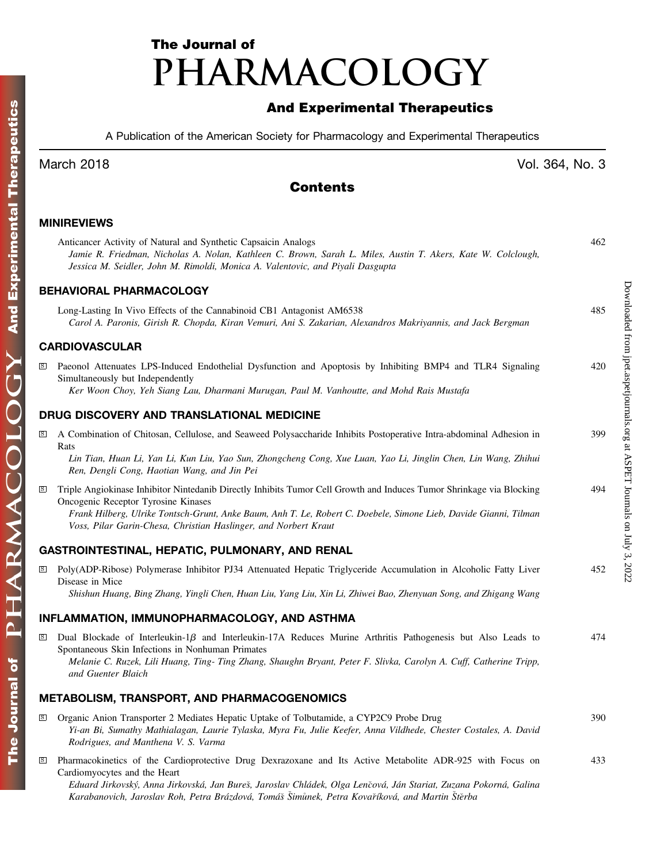# The Journal of PHARMACOLOGY

# And Experimental Therapeutics

A Publication of the American Society for Pharmacology and Experimental Therapeutics

## March 2018 Vol. 364, No. 3

Downloaded from [jpet.aspetjournals.org](http://jpet.aspetjournals.org/) at ASPET Journals on July 3, 2022

Downloaded from jpet.aspetjournals.org at ASPET Journals on July 3, 2022

### Contents

#### MINIREVIEWS

|              | Anticancer Activity of Natural and Synthetic Capsaicin Analogs<br>Jamie R. Friedman, Nicholas A. Nolan, Kathleen C. Brown, Sarah L. Miles, Austin T. Akers, Kate W. Colclough,<br>Jessica M. Seidler, John M. Rimoldi, Monica A. Valentovic, and Piyali Dasgupta                                                                                                 | 462 |
|--------------|------------------------------------------------------------------------------------------------------------------------------------------------------------------------------------------------------------------------------------------------------------------------------------------------------------------------------------------------------------------|-----|
|              | <b>BEHAVIORAL PHARMACOLOGY</b>                                                                                                                                                                                                                                                                                                                                   |     |
|              | Long-Lasting In Vivo Effects of the Cannabinoid CB1 Antagonist AM6538<br>Carol A. Paronis, Girish R. Chopda, Kiran Vemuri, Ani S. Zakarian, Alexandros Makriyannis, and Jack Bergman                                                                                                                                                                             | 485 |
|              | <b>CARDIOVASCULAR</b>                                                                                                                                                                                                                                                                                                                                            |     |
| S            | Paeonol Attenuates LPS-Induced Endothelial Dysfunction and Apoptosis by Inhibiting BMP4 and TLR4 Signaling<br>Simultaneously but Independently<br>Ker Woon Choy, Yeh Siang Lau, Dharmani Murugan, Paul M. Vanhoutte, and Mohd Rais Mustafa                                                                                                                       | 420 |
|              | DRUG DISCOVERY AND TRANSLATIONAL MEDICINE                                                                                                                                                                                                                                                                                                                        |     |
| S            | A Combination of Chitosan, Cellulose, and Seaweed Polysaccharide Inhibits Postoperative Intra-abdominal Adhesion in<br>Rats                                                                                                                                                                                                                                      | 399 |
|              | Lin Tian, Huan Li, Yan Li, Kun Liu, Yao Sun, Zhongcheng Cong, Xue Luan, Yao Li, Jinglin Chen, Lin Wang, Zhihui<br>Ren, Dengli Cong, Haotian Wang, and Jin Pei                                                                                                                                                                                                    |     |
| $\, {\bf S}$ | Triple Angiokinase Inhibitor Nintedanib Directly Inhibits Tumor Cell Growth and Induces Tumor Shrinkage via Blocking<br>Oncogenic Receptor Tyrosine Kinases<br>Frank Hilberg, Ulrike Tontsch-Grunt, Anke Baum, Anh T. Le, Robert C. Doebele, Simone Lieb, Davide Gianni, Tilman<br>Voss, Pilar Garin-Chesa, Christian Haslinger, and Norbert Kraut               | 494 |
|              | GASTROINTESTINAL, HEPATIC, PULMONARY, AND RENAL                                                                                                                                                                                                                                                                                                                  |     |
| <b>S</b>     | Poly(ADP-Ribose) Polymerase Inhibitor PJ34 Attenuated Hepatic Triglyceride Accumulation in Alcoholic Fatty Liver<br>Disease in Mice<br>Shishun Huang, Bing Zhang, Yingli Chen, Huan Liu, Yang Liu, Xin Li, Zhiwei Bao, Zhenyuan Song, and Zhigang Wang                                                                                                           | 452 |
|              | INFLAMMATION, IMMUNOPHARMACOLOGY, AND ASTHMA                                                                                                                                                                                                                                                                                                                     |     |
| S            | Dual Blockade of Interleukin-1 $\beta$ and Interleukin-17A Reduces Murine Arthritis Pathogenesis but Also Leads to<br>Spontaneous Skin Infections in Nonhuman Primates<br>Melanie C. Ruzek, Lili Huang, Ting- Ting Zhang, Shaughn Bryant, Peter F. Slivka, Carolyn A. Cuff, Catherine Tripp,<br>and Guenter Blaich                                               | 474 |
|              | METABOLISM, TRANSPORT, AND PHARMACOGENOMICS                                                                                                                                                                                                                                                                                                                      |     |
| <u>is</u>    | Organic Anion Transporter 2 Mediates Hepatic Uptake of Tolbutamide, a CYP2C9 Probe Drug<br>Yi-an Bi, Sumathy Mathialagan, Laurie Tylaska, Myra Fu, Julie Keefer, Anna Vildhede, Chester Costales, A. David<br>Rodrigues, and Manthena V. S. Varma                                                                                                                | 390 |
| $\mathbf{s}$ | Pharmacokinetics of the Cardioprotective Drug Dexrazoxane and Its Active Metabolite ADR-925 with Focus on<br>Cardiomy ocytes and the Heart<br>Eduard Jirkovský, Anna Jirkovská, Jan Bureš, Jaroslav Chládek, Olga Lenčová, Ján Stariat, Zuzana Pokorná, Galina<br>Karabanovich, Jaroslav Roh, Petra Brázdová, Tomáš Šimůnek, Petra Kovaříková, and Martin Štěrba | 433 |